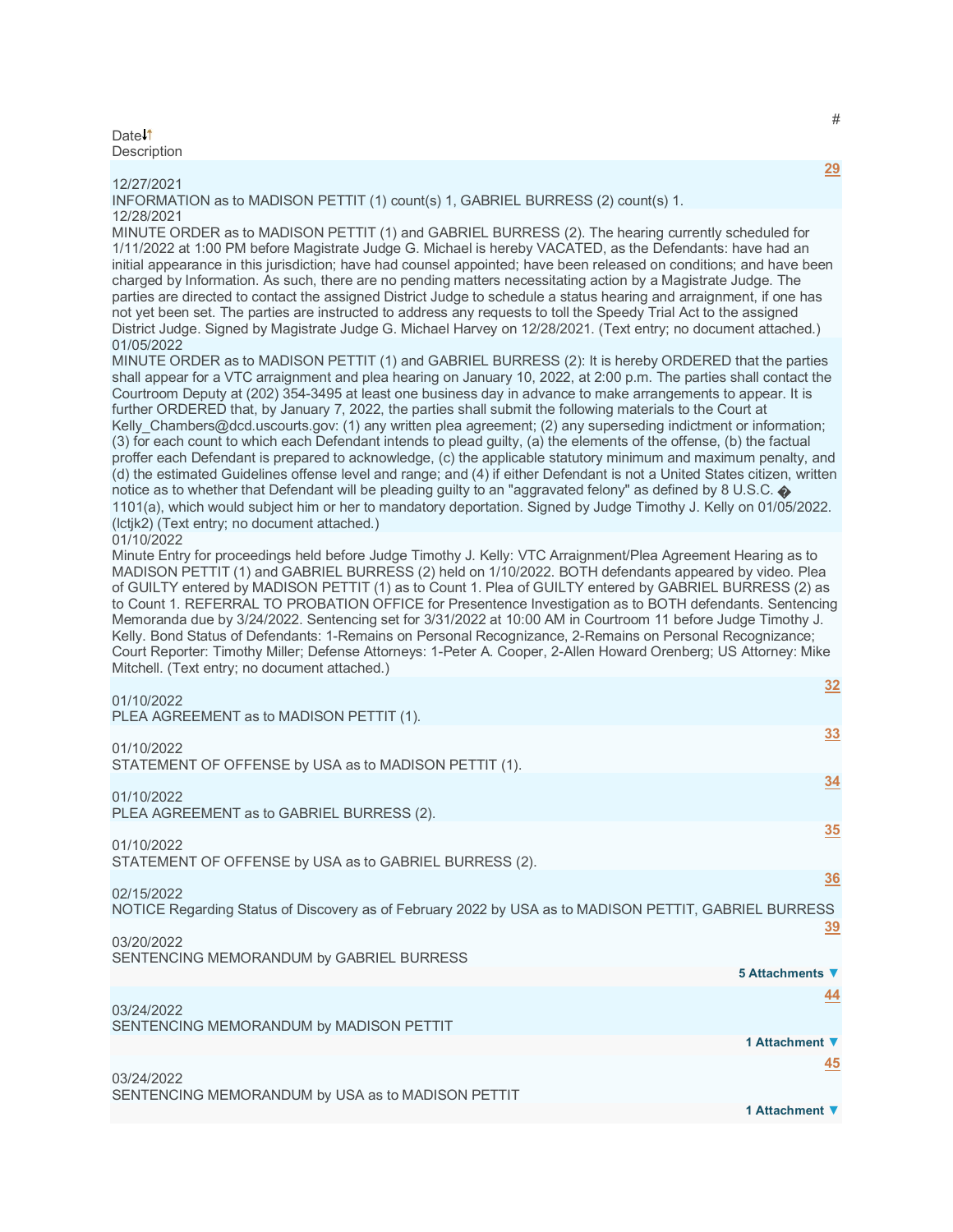Date<sup>1</sup> **Description** 

#### 12/27/2021

INFORMATION as to MADISON PETTIT (1) count(s) 1, GABRIEL BURRESS (2) count(s) 1. 12/28/2021

MINUTE ORDER as to MADISON PETTIT (1) and GABRIEL BURRESS (2). The hearing currently scheduled for 1/11/2022 at 1:00 PM before Magistrate Judge G. Michael is hereby VACATED, as the Defendants: have had an initial appearance in this jurisdiction; have had counsel appointed; have been released on conditions; and have been charged by Information. As such, there are no pending matters necessitating action by a Magistrate Judge. The parties are directed to contact the assigned District Judge to schedule a status hearing and arraignment, if one has not yet been set. The parties are instructed to address any requests to toll the Speedy Trial Act to the assigned District Judge. Signed by Magistrate Judge G. Michael Harvey on 12/28/2021. (Text entry; no document attached.) 01/05/2022

MINUTE ORDER as to MADISON PETTIT (1) and GABRIEL BURRESS (2): It is hereby ORDERED that the parties shall appear for a VTC arraignment and plea hearing on January 10, 2022, at 2:00 p.m. The parties shall contact the Courtroom Deputy at (202) 354-3495 at least one business day in advance to make arrangements to appear. It is further ORDERED that, by January 7, 2022, the parties shall submit the following materials to the Court at Kelly Chambers@dcd.uscourts.gov: (1) any written plea agreement; (2) any superseding indictment or information; (3) for each count to which each Defendant intends to plead guilty, (a) the elements of the offense, (b) the factual proffer each Defendant is prepared to acknowledge, (c) the applicable statutory minimum and maximum penalty, and (d) the estimated Guidelines offense level and range; and (4) if either Defendant is not a United States citizen, written notice as to whether that Defendant will be pleading guilty to an "aggravated felony" as defined by 8 U.S.C. 1101(a), which would subject him or her to mandatory deportation. Signed by Judge Timothy J. Kelly on 01/05/2022. (lctjk2) (Text entry; no document attached.)

## 01/10/2022

Minute Entry for proceedings held before Judge Timothy J. Kelly: VTC Arraignment/Plea Agreement Hearing as to MADISON PETTIT (1) and GABRIEL BURRESS (2) held on 1/10/2022. BOTH defendants appeared by video. Plea of GUILTY entered by MADISON PETTIT (1) as to Count 1. Plea of GUILTY entered by GABRIEL BURRESS (2) as to Count 1. REFERRAL TO PROBATION OFFICE for Presentence Investigation as to BOTH defendants. Sentencing Memoranda due by 3/24/2022. Sentencing set for 3/31/2022 at 10:00 AM in Courtroom 11 before Judge Timothy J. Kelly. Bond Status of Defendants: 1-Remains on Personal Recognizance, 2-Remains on Personal Recognizance; Court Reporter: Timothy Miller; Defense Attorneys: 1-Peter A. Cooper, 2-Allen Howard Orenberg; US Attorney: Mike Mitchell. (Text entry; no document attached.)

## 01/10/2022

| PLEA AGREEMENT as to MADISON PETTIT (1).                                                                           |
|--------------------------------------------------------------------------------------------------------------------|
| 33<br>01/10/2022<br>STATEMENT OF OFFENSE by USA as to MADISON PETTIT (1).                                          |
| 34                                                                                                                 |
| 01/10/2022<br>PLEA AGREEMENT as to GABRIEL BURRESS (2).                                                            |
| 35<br>01/10/2022                                                                                                   |
| STATEMENT OF OFFENSE by USA as to GABRIEL BURRESS (2).                                                             |
| 36<br>02/15/2022                                                                                                   |
| NOTICE Regarding Status of Discovery as of February 2022 by USA as to MADISON PETTIT, GABRIEL BURRESS<br><u>39</u> |
| 03/20/2022<br>SENTENCING MEMORANDUM by GABRIEL BURRESS                                                             |
| 5 Attachments ▼                                                                                                    |
| <u>44</u><br>03/24/2022<br>SENTENCING MEMORANDUM by MADISON PETTIT                                                 |
| 1 Attachment ▼                                                                                                     |
| <u>45</u>                                                                                                          |
| 03/24/2022<br>SENTENCING MEMORANDUM by USA as to MADISON PETTIT                                                    |
| 1 Attachment ▼                                                                                                     |

## **[29](javascript:void(0))**

**[32](javascript:void(0))**